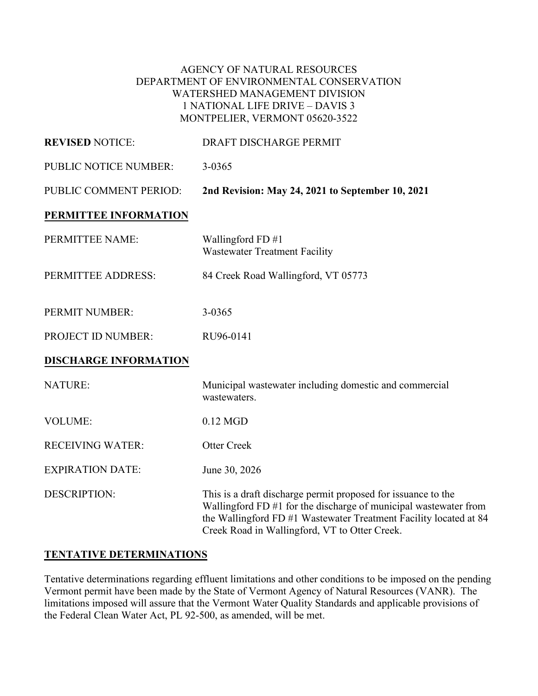#### AGENCY OF NATURAL RESOURCES DEPARTMENT OF ENVIRONMENTAL CONSERVATION WATERSHED MANAGEMENT DIVISION 1 NATIONAL LIFE DRIVE – DAVIS 3 MONTPELIER, VERMONT 05620-3522

| <b>REVISED NOTICE:</b>       | DRAFT DISCHARGE PERMIT                                                                                                                                                                                                                                  |
|------------------------------|---------------------------------------------------------------------------------------------------------------------------------------------------------------------------------------------------------------------------------------------------------|
| PUBLIC NOTICE NUMBER:        | $3 - 0365$                                                                                                                                                                                                                                              |
| PUBLIC COMMENT PERIOD:       | 2nd Revision: May 24, 2021 to September 10, 2021                                                                                                                                                                                                        |
| PERMITTEE INFORMATION        |                                                                                                                                                                                                                                                         |
| PERMITTEE NAME:              | Wallingford FD #1<br>Wastewater Treatment Facility                                                                                                                                                                                                      |
| PERMITTEE ADDRESS:           | 84 Creek Road Wallingford, VT 05773                                                                                                                                                                                                                     |
| PERMIT NUMBER:               | 3-0365                                                                                                                                                                                                                                                  |
| PROJECT ID NUMBER:           | RU96-0141                                                                                                                                                                                                                                               |
| <b>DISCHARGE INFORMATION</b> |                                                                                                                                                                                                                                                         |
| <b>NATURE:</b>               | Municipal wastewater including domestic and commercial<br>wastewaters.                                                                                                                                                                                  |
| <b>VOLUME:</b>               | $0.12$ MGD                                                                                                                                                                                                                                              |
| <b>RECEIVING WATER:</b>      | <b>Otter Creek</b>                                                                                                                                                                                                                                      |
| <b>EXPIRATION DATE:</b>      | June 30, 2026                                                                                                                                                                                                                                           |
| <b>DESCRIPTION:</b>          | This is a draft discharge permit proposed for issuance to the<br>Wallingford FD #1 for the discharge of municipal wastewater from<br>the Wallingford FD #1 Wastewater Treatment Facility located at 84<br>Creek Road in Wallingford, VT to Otter Creek. |

### **TENTATIVE DETERMINATIONS**

Tentative determinations regarding effluent limitations and other conditions to be imposed on the pending Vermont permit have been made by the State of Vermont Agency of Natural Resources (VANR). The limitations imposed will assure that the Vermont Water Quality Standards and applicable provisions of the Federal Clean Water Act, PL 92-500, as amended, will be met.